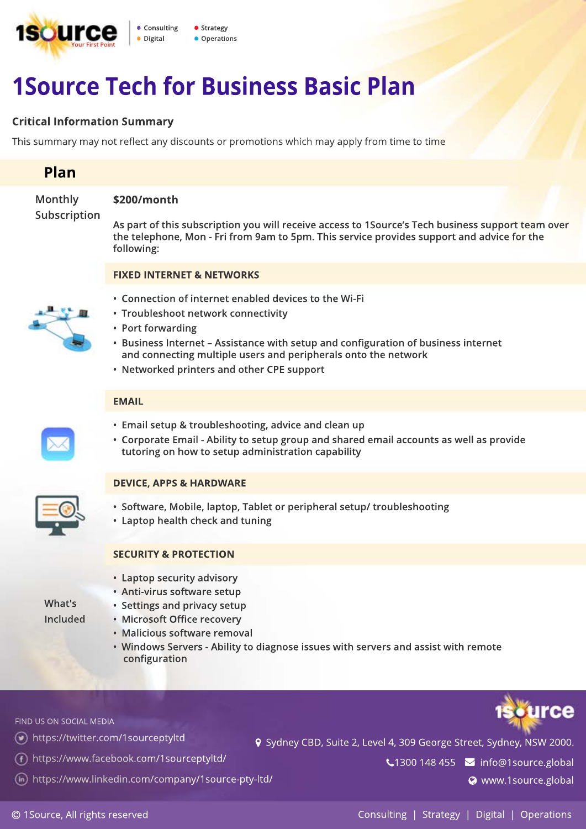

# **1Source Tech for Business Basic Plan**

### **Critical Information Summary**

This summary may not reflect any discounts or promotions which may apply from time to time

# **Plan**

**Monthly Subscription**

## **\$200/month**

**As part of this subscription you will receive access to 1Source's Tech business support team over the telephone, Mon - Fri from 9am to 5pm. This service provides support and advice for the following:**

#### **FIXED INTERNET & NETWORKS**



- **Connection of internet enabled devices to the Wi-Fi**
- **Troubleshoot network connectivity**
- **Port forwarding**
- **Business Internet Assistance with setup and configuration of business internet and connecting multiple users and peripherals onto the network**
- **Networked printers and other CPE support**

#### **EMAIL**

- **Email setup & troubleshooting, advice and clean up**
- **Corporate Email Ability to setup group and shared email accounts as well as provide tutoring on how to setup administration capability**

### **DEVICE, APPS & HARDWARE**

- **Software, Mobile, laptop, Tablet or peripheral setup/ troubleshooting**
- **Laptop health check and tuning**

#### **SECURITY & PROTECTION**

- **Laptop security advisory**
- **Anti-virus software setup**
- **Settings and privacy setup**
- **Microsoft Office recovery**
- **Malicious software removal**
- **Windows Servers Ability to diagnose issues with servers and assist with remote configuration**

FIND US ON SOCIAL MEDIA

**What's Included**

- https://twitter.com/1sourceptyltd
- https://www.facebook.com/1sourceptyltd/
- https://www.linkedin.com/company/1source-pty-ltd/

 $\bigcup$ 1300 148 455  $\bigcup$  info@1source.global

9 Sydney CBD, Suite 2, Level 4, 309 George Street, Sydney, NSW 2000.

**WWW.1source.global**